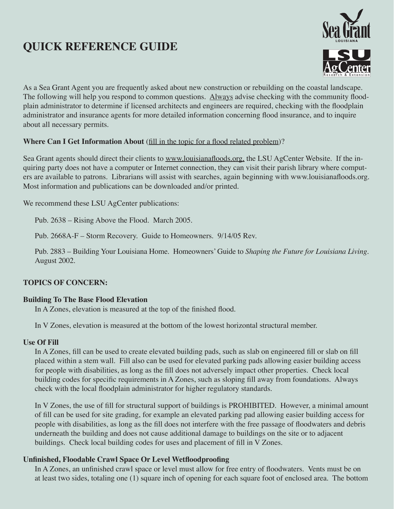# **QUICK REFERENCE GUIDE**



As a Sea Grant Agent you are frequently asked about new construction or rebuilding on the coastal landscape. The following will help you respond to common questions. Always advise checking with the community floodplain administrator to determine if licensed architects and engineers are required, checking with the floodplain administrator and insurance agents for more detailed information concerning flood insurance, and to inquire about all necessary permits.

### **Where Can I Get Information About** (fill in the topic for a flood related problem)?

Sea Grant agents should direct their clients to www.louisianafloods.org, the LSU AgCenter Website. If the inquiring party does not have a computer or Internet connection, they can visit their parish library where computers are available to patrons. Librarians will assist with searches, again beginning with www.louisianafloods.org. Most information and publications can be downloaded and/or printed.

We recommend these LSU AgCenter publications:

Pub. 2638 – Rising Above the Flood. March 2005.

Pub. 2668A-F – Storm Recovery. Guide to Homeowners. 9/14/05 Rev.

Pub. 2883 – Building Your Louisiana Home. Homeowners' Guide to *Shaping the Future for Louisiana Living*. August 2002.

# **TOPICS OF CONCERN:**

### **Building To The Base Flood Elevation**

In A Zones, elevation is measured at the top of the finished flood.

In V Zones, elevation is measured at the bottom of the lowest horizontal structural member.

### **Use Of Fill**

In A Zones, fill can be used to create elevated building pads, such as slab on engineered fill or slab on fill placed within a stem wall. Fill also can be used for elevated parking pads allowing easier building access for people with disabilities, as long as the fill does not adversely impact other properties. Check local building codes for specific requirements in A Zones, such as sloping fill away from foundations. Always check with the local floodplain administrator for higher regulatory standards.

In V Zones, the use of fill for structural support of buildings is PROHIBITED. However, a minimal amount of fill can be used for site grading, for example an elevated parking pad allowing easier building access for people with disabilities, as long as the fill does not interfere with the free passage of floodwaters and debris underneath the building and does not cause additional damage to buildings on the site or to adjacent buildings. Check local building codes for uses and placement of fill in V Zones.

# **Unfinished, Floodable Crawl Space Or Level Wetfloodproofing**

In A Zones, an unfinished crawl space or level must allow for free entry of floodwaters. Vents must be on at least two sides, totaling one (1) square inch of opening for each square foot of enclosed area. The bottom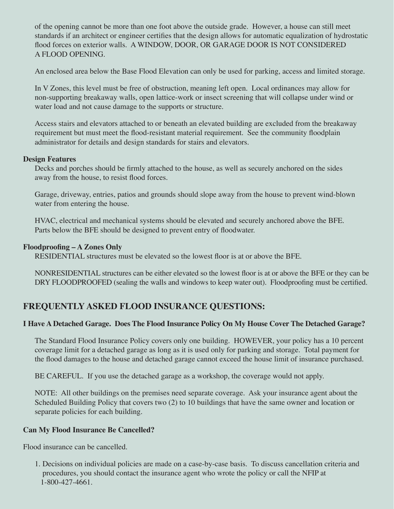of the opening cannot be more than one foot above the outside grade. However, a house can still meet standards if an architect or engineer certifies that the design allows for automatic equalization of hydrostatic flood forces on exterior walls. A WINDOW, DOOR, OR GARAGE DOOR IS NOT CONSIDERED A FLOOD OPENING.

An enclosed area below the Base Flood Elevation can only be used for parking, access and limited storage.

In V Zones, this level must be free of obstruction, meaning left open. Local ordinances may allow for non-supporting breakaway walls, open lattice-work or insect screening that will collapse under wind or water load and not cause damage to the supports or structure.

Access stairs and elevators attached to or beneath an elevated building are excluded from the breakaway requirement but must meet the flood-resistant material requirement. See the community floodplain administrator for details and design standards for stairs and elevators.

### **Design Features**

Decks and porches should be firmly attached to the house, as well as securely anchored on the sides away from the house, to resist flood forces.

Garage, driveway, entries, patios and grounds should slope away from the house to prevent wind-blown water from entering the house.

HVAC, electrical and mechanical systems should be elevated and securely anchored above the BFE. Parts below the BFE should be designed to prevent entry of floodwater.

### **Floodproofing – A Zones Only**

RESIDENTIAL structures must be elevated so the lowest floor is at or above the BFE.

NONRESIDENTIAL structures can be either elevated so the lowest floor is at or above the BFE or they can be DRY FLOODPROOFED (sealing the walls and windows to keep water out). Floodproofing must be certified.

# **FREQUENTLY ASKED FLOOD INSURANCE QUESTIONS:**

### **I Have A Detached Garage. Does The Flood Insurance Policy On My House Cover The Detached Garage?**

The Standard Flood Insurance Policy covers only one building. HOWEVER, your policy has a 10 percent coverage limit for a detached garage as long as it is used only for parking and storage. Total payment for the flood damages to the house and detached garage cannot exceed the house limit of insurance purchased.

BE CAREFUL. If you use the detached garage as a workshop, the coverage would not apply.

NOTE: All other buildings on the premises need separate coverage. Ask your insurance agent about the Scheduled Building Policy that covers two (2) to 10 buildings that have the same owner and location or separate policies for each building.

### **Can My Flood Insurance Be Cancelled?**

Flood insurance can be cancelled.

1. Decisions on individual policies are made on a case-by-case basis. To discuss cancellation criteria and procedures, you should contact the insurance agent who wrote the policy or call the NFIP at 1-800-427-4661.